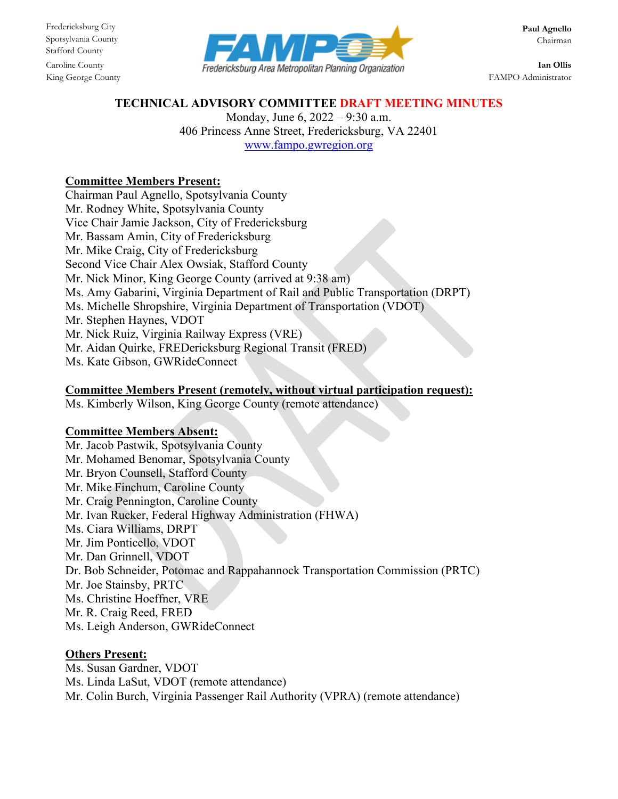Stafford County



King George County **FAMPO** Administrator

#### **TECHNICAL ADVISORY COMMITTEE DRAFT MEETING MINUTES**

Monday, June 6, 2022 – 9:30 a.m. 406 Princess Anne Street, Fredericksburg, VA 22401 [www.fampo.gwregion.org](http://www.fampo.gwregion.org/)

# **Committee Members Present:**

Chairman Paul Agnello, Spotsylvania County Mr. Rodney White, Spotsylvania County Vice Chair Jamie Jackson, City of Fredericksburg Mr. Bassam Amin, City of Fredericksburg Mr. Mike Craig, City of Fredericksburg Second Vice Chair Alex Owsiak, Stafford County Mr. Nick Minor, King George County (arrived at 9:38 am) Ms. Amy Gabarini, Virginia Department of Rail and Public Transportation (DRPT) Ms. Michelle Shropshire, Virginia Department of Transportation (VDOT) Mr. Stephen Haynes, VDOT Mr. Nick Ruiz, Virginia Railway Express (VRE) Mr. Aidan Quirke, FREDericksburg Regional Transit (FRED) Ms. Kate Gibson, GWRideConnect

## **Committee Members Present (remotely, without virtual participation request):**

Ms. Kimberly Wilson, King George County (remote attendance)

## **Committee Members Absent:**

Mr. Jacob Pastwik, Spotsylvania County Mr. Mohamed Benomar, Spotsylvania County Mr. Bryon Counsell, Stafford County Mr. Mike Finchum, Caroline County Mr. Craig Pennington, Caroline County Mr. Ivan Rucker, Federal Highway Administration (FHWA) Ms. Ciara Williams, DRPT Mr. Jim Ponticello, VDOT Mr. Dan Grinnell, VDOT Dr. Bob Schneider, Potomac and Rappahannock Transportation Commission (PRTC) Mr. Joe Stainsby, PRTC Ms. Christine Hoeffner, VRE Mr. R. Craig Reed, FRED Ms. Leigh Anderson, GWRideConnect

## **Others Present:**

Ms. Susan Gardner, VDOT Ms. Linda LaSut, VDOT (remote attendance) Mr. Colin Burch, Virginia Passenger Rail Authority (VPRA) (remote attendance)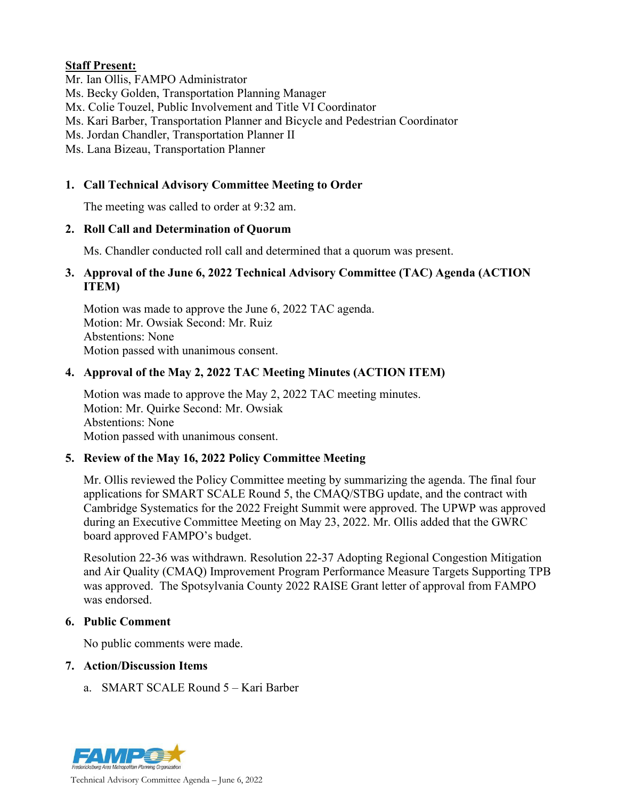# **Staff Present:**

Mr. Ian Ollis, FAMPO Administrator

Ms. Becky Golden, Transportation Planning Manager

Mx. Colie Touzel, Public Involvement and Title VI Coordinator

Ms. Kari Barber, Transportation Planner and Bicycle and Pedestrian Coordinator

Ms. Jordan Chandler, Transportation Planner II

Ms. Lana Bizeau, Transportation Planner

# **1. Call Technical Advisory Committee Meeting to Order**

The meeting was called to order at 9:32 am.

## **2. Roll Call and Determination of Quorum**

Ms. Chandler conducted roll call and determined that a quorum was present.

#### **3. Approval of the June 6, 2022 Technical Advisory Committee (TAC) Agenda (ACTION ITEM)**

Motion was made to approve the June 6, 2022 TAC agenda. Motion: Mr. Owsiak Second: Mr. Ruiz Abstentions: None Motion passed with unanimous consent.

# **4. Approval of the May 2, 2022 TAC Meeting Minutes (ACTION ITEM)**

Motion was made to approve the May 2, 2022 TAC meeting minutes. Motion: Mr. Quirke Second: Mr. Owsiak Abstentions: None Motion passed with unanimous consent.

## **5. Review of the May 16, 2022 Policy Committee Meeting**

Mr. Ollis reviewed the Policy Committee meeting by summarizing the agenda. The final four applications for SMART SCALE Round 5, the CMAQ/STBG update, and the contract with Cambridge Systematics for the 2022 Freight Summit were approved. The UPWP was approved during an Executive Committee Meeting on May 23, 2022. Mr. Ollis added that the GWRC board approved FAMPO's budget.

Resolution 22-36 was withdrawn. Resolution 22-37 Adopting Regional Congestion Mitigation and Air Quality (CMAQ) Improvement Program Performance Measure Targets Supporting TPB was approved. The Spotsylvania County 2022 RAISE Grant letter of approval from FAMPO was endorsed.

## **6. Public Comment**

No public comments were made.

## **7. Action/Discussion Items**

a. SMART SCALE Round 5 – Kari Barber

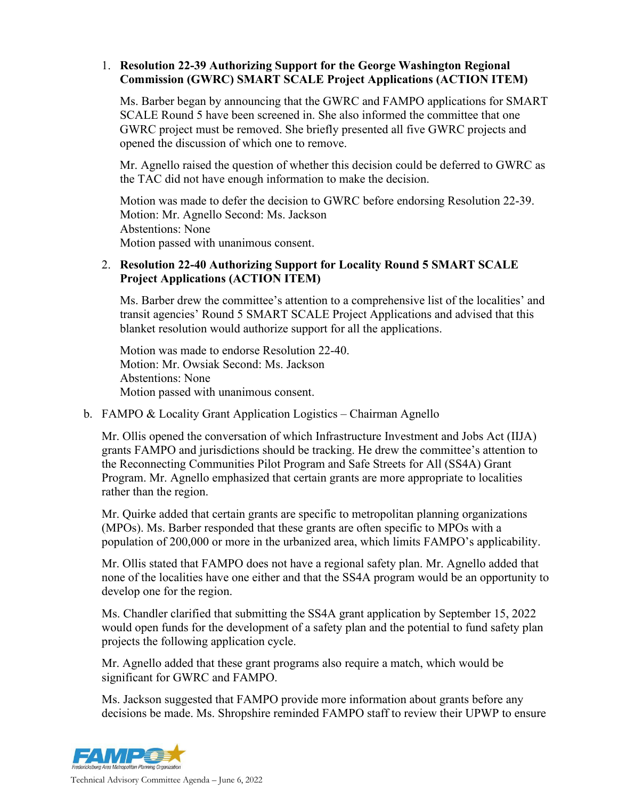## 1. **Resolution 22-39 Authorizing Support for the George Washington Regional Commission (GWRC) SMART SCALE Project Applications (ACTION ITEM)**

Ms. Barber began by announcing that the GWRC and FAMPO applications for SMART SCALE Round 5 have been screened in. She also informed the committee that one GWRC project must be removed. She briefly presented all five GWRC projects and opened the discussion of which one to remove.

Mr. Agnello raised the question of whether this decision could be deferred to GWRC as the TAC did not have enough information to make the decision.

Motion was made to defer the decision to GWRC before endorsing Resolution 22-39. Motion: Mr. Agnello Second: Ms. Jackson Abstentions: None Motion passed with unanimous consent.

# 2. **Resolution 22-40 Authorizing Support for Locality Round 5 SMART SCALE Project Applications (ACTION ITEM)**

Ms. Barber drew the committee's attention to a comprehensive list of the localities' and transit agencies' Round 5 SMART SCALE Project Applications and advised that this blanket resolution would authorize support for all the applications.

Motion was made to endorse Resolution 22-40. Motion: Mr. Owsiak Second: Ms. Jackson Abstentions: None Motion passed with unanimous consent.

## b. FAMPO & Locality Grant Application Logistics – Chairman Agnello

Mr. Ollis opened the conversation of which Infrastructure Investment and Jobs Act (IIJA) grants FAMPO and jurisdictions should be tracking. He drew the committee's attention to the Reconnecting Communities Pilot Program and Safe Streets for All (SS4A) Grant Program. Mr. Agnello emphasized that certain grants are more appropriate to localities rather than the region.

Mr. Quirke added that certain grants are specific to metropolitan planning organizations (MPOs). Ms. Barber responded that these grants are often specific to MPOs with a population of 200,000 or more in the urbanized area, which limits FAMPO's applicability.

Mr. Ollis stated that FAMPO does not have a regional safety plan. Mr. Agnello added that none of the localities have one either and that the SS4A program would be an opportunity to develop one for the region.

Ms. Chandler clarified that submitting the SS4A grant application by September 15, 2022 would open funds for the development of a safety plan and the potential to fund safety plan projects the following application cycle.

Mr. Agnello added that these grant programs also require a match, which would be significant for GWRC and FAMPO.

Ms. Jackson suggested that FAMPO provide more information about grants before any decisions be made. Ms. Shropshire reminded FAMPO staff to review their UPWP to ensure

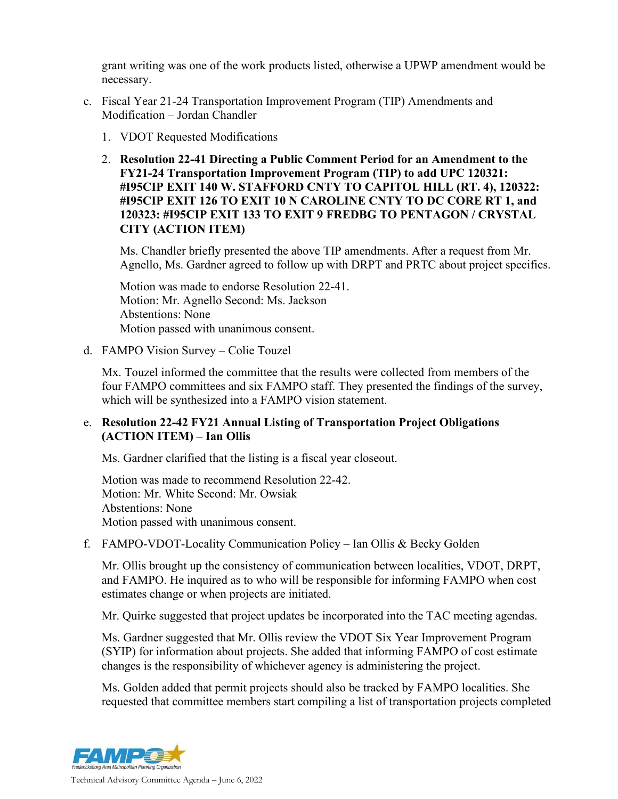grant writing was one of the work products listed, otherwise a UPWP amendment would be necessary.

- c. Fiscal Year 21-24 Transportation Improvement Program (TIP) Amendments and Modification – Jordan Chandler
	- 1. VDOT Requested Modifications
	- 2. **Resolution 22-41 Directing a Public Comment Period for an Amendment to the FY21-24 Transportation Improvement Program (TIP) to add UPC 120321: #I95CIP EXIT 140 W. STAFFORD CNTY TO CAPITOL HILL (RT. 4), 120322: #I95CIP EXIT 126 TO EXIT 10 N CAROLINE CNTY TO DC CORE RT 1, and 120323: #I95CIP EXIT 133 TO EXIT 9 FREDBG TO PENTAGON / CRYSTAL CITY (ACTION ITEM)**

Ms. Chandler briefly presented the above TIP amendments. After a request from Mr. Agnello, Ms. Gardner agreed to follow up with DRPT and PRTC about project specifics.

Motion was made to endorse Resolution 22-41. Motion: Mr. Agnello Second: Ms. Jackson Abstentions: None Motion passed with unanimous consent.

d. FAMPO Vision Survey – Colie Touzel

Mx. Touzel informed the committee that the results were collected from members of the four FAMPO committees and six FAMPO staff. They presented the findings of the survey, which will be synthesized into a FAMPO vision statement.

## e. **Resolution 22-42 FY21 Annual Listing of Transportation Project Obligations (ACTION ITEM) – Ian Ollis**

Ms. Gardner clarified that the listing is a fiscal year closeout.

Motion was made to recommend Resolution 22-42. Motion: Mr. White Second: Mr. Owsiak Abstentions: None Motion passed with unanimous consent.

f. FAMPO-VDOT-Locality Communication Policy – Ian Ollis & Becky Golden

Mr. Ollis brought up the consistency of communication between localities, VDOT, DRPT, and FAMPO. He inquired as to who will be responsible for informing FAMPO when cost estimates change or when projects are initiated.

Mr. Quirke suggested that project updates be incorporated into the TAC meeting agendas.

Ms. Gardner suggested that Mr. Ollis review the VDOT Six Year Improvement Program (SYIP) for information about projects. She added that informing FAMPO of cost estimate changes is the responsibility of whichever agency is administering the project.

Ms. Golden added that permit projects should also be tracked by FAMPO localities. She requested that committee members start compiling a list of transportation projects completed